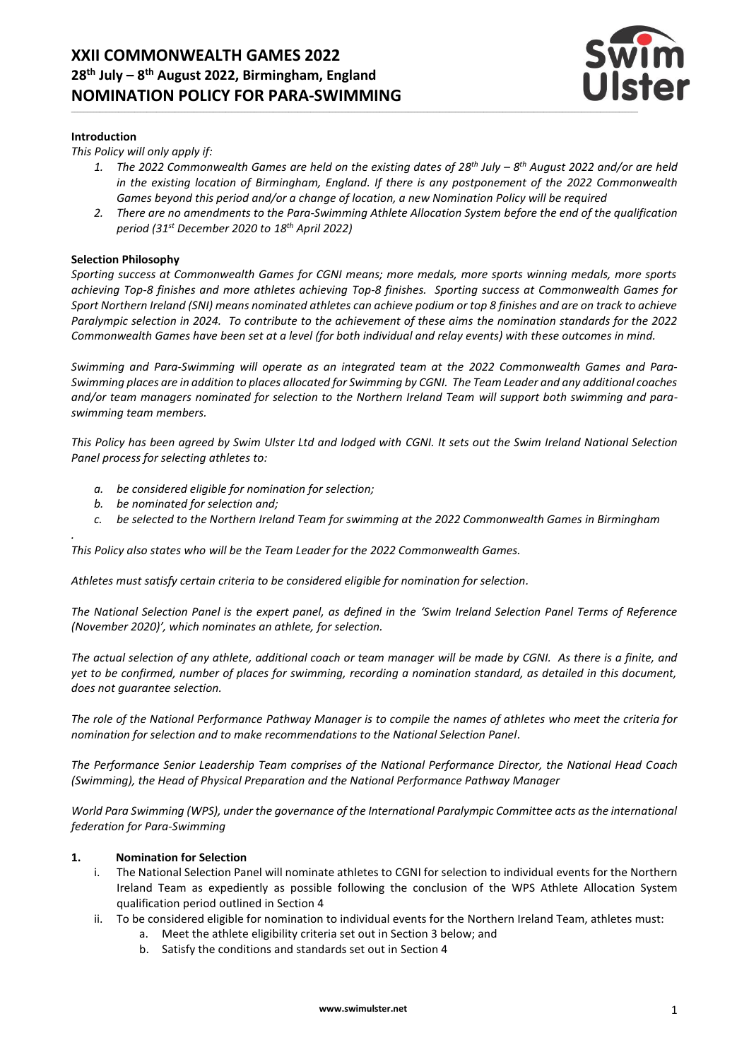

#### **Introduction**

*This Policy will only apply if:*

- *1. The 2022 Commonwealth Games are held on the existing dates of 28 th July – 8 th August 2022 and/or are held in the existing location of Birmingham, England. If there is any postponement of the 2022 Commonwealth Games beyond this period and/or a change of location, a new Nomination Policy will be required*
- *2. There are no amendments to the Para-Swimming Athlete Allocation System before the end of the qualification period (31st December 2020 to 18th April 2022)*

#### **Selection Philosophy**

*.* 

*Sporting success at Commonwealth Games for CGNI means; more medals, more sports winning medals, more sports achieving Top-8 finishes and more athletes achieving Top-8 finishes. Sporting success at Commonwealth Games for Sport Northern Ireland (SNI) means nominated athletes can achieve podium or top 8 finishes and are on track to achieve Paralympic selection in 2024. To contribute to the achievement of these aims the nomination standards for the 2022 Commonwealth Games have been set at a level (for both individual and relay events) with these outcomes in mind.*

*Swimming and Para-Swimming will operate as an integrated team at the 2022 Commonwealth Games and Para-Swimming places are in addition to places allocated for Swimming by CGNI. The Team Leader and any additional coaches and/or team managers nominated for selection to the Northern Ireland Team will support both swimming and paraswimming team members.* 

*This Policy has been agreed by Swim Ulster Ltd and lodged with CGNI. It sets out the Swim Ireland National Selection Panel process for selecting athletes to:*

- *a. be considered eligible for nomination for selection;*
- *b. be nominated for selection and;*
- *c. be selected to the Northern Ireland Team for swimming at the 2022 Commonwealth Games in Birmingham*

*This Policy also states who will be the Team Leader for the 2022 Commonwealth Games.*

*Athletes must satisfy certain criteria to be considered eligible for nomination for selection.*

*The National Selection Panel is the expert panel, as defined in the 'Swim Ireland Selection Panel Terms of Reference (November 2020)', which nominates an athlete, for selection.*

*The actual selection of any athlete, additional coach or team manager will be made by CGNI. As there is a finite, and yet to be confirmed, number of places for swimming, recording a nomination standard, as detailed in this document, does not guarantee selection.* 

*The role of the National Performance Pathway Manager is to compile the names of athletes who meet the criteria for nomination for selection and to make recommendations to the National Selection Panel.*

*The Performance Senior Leadership Team comprises of the National Performance Director, the National Head Coach (Swimming), the Head of Physical Preparation and the National Performance Pathway Manager*

*World Para Swimming (WPS), under the governance of the International Paralympic Committee acts as the international federation for Para-Swimming*

#### **1. Nomination for Selection**

- i. The National Selection Panel will nominate athletes to CGNI for selection to individual events for the Northern Ireland Team as expediently as possible following the conclusion of the WPS Athlete Allocation System qualification period outlined in Section 4
- ii. To be considered eligible for nomination to individual events for the Northern Ireland Team, athletes must:
	- a. Meet the athlete eligibility criteria set out in Section 3 below; and
	- b. Satisfy the conditions and standards set out in Section 4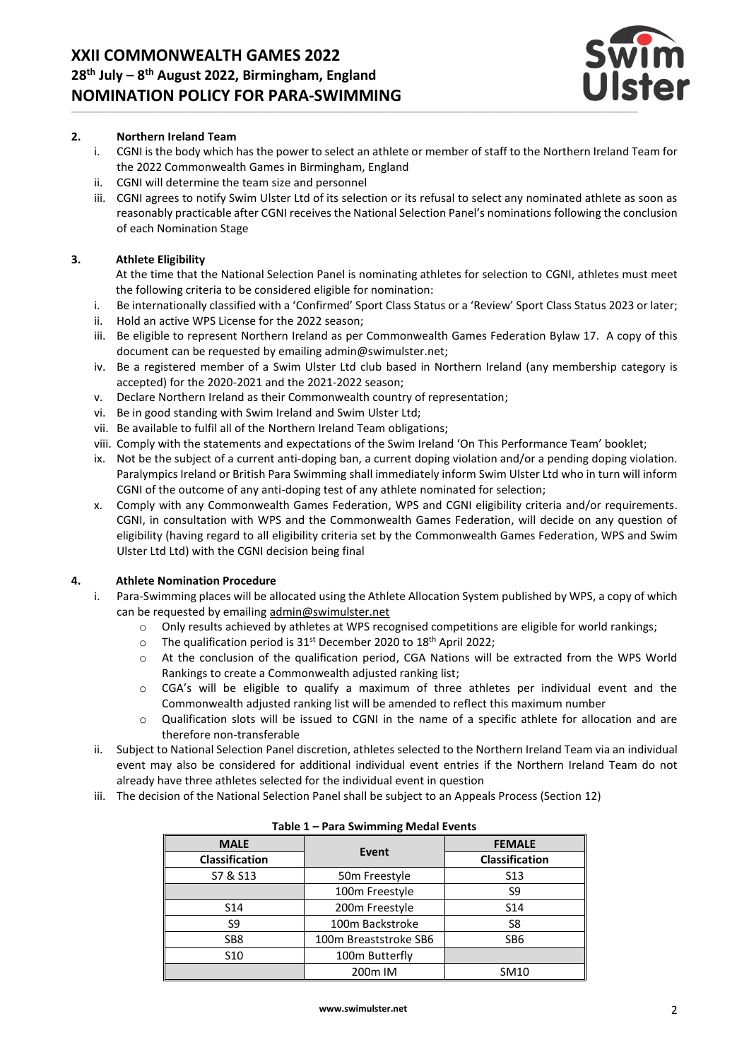

## **2. Northern Ireland Team**

- i. CGNI is the body which has the power to select an athlete or member of staff to the Northern Ireland Team for the 2022 Commonwealth Games in Birmingham, England
- ii. CGNI will determine the team size and personnel
- iii. CGNI agrees to notify Swim Ulster Ltd of its selection or its refusal to select any nominated athlete as soon as reasonably practicable after CGNI receives the National Selection Panel's nominations following the conclusion of each Nomination Stage

## **3. Athlete Eligibility**

At the time that the National Selection Panel is nominating athletes for selection to CGNI, athletes must meet the following criteria to be considered eligible for nomination:

- i. Be internationally classified with a 'Confirmed' Sport Class Status or a 'Review' Sport Class Status 2023 or later;
- ii. Hold an active WPS License for the 2022 season;
- iii. Be eligible to represent Northern Ireland as per Commonwealth Games Federation Bylaw 17. A copy of this document can be requested by emailing admin@swimulster.net;
- iv. Be a registered member of a Swim Ulster Ltd club based in Northern Ireland (any membership category is accepted) for the 2020-2021 and the 2021-2022 season;
- v. Declare Northern Ireland as their Commonwealth country of representation;
- vi. Be in good standing with Swim Ireland and Swim Ulster Ltd;
- vii. Be available to fulfil all of the Northern Ireland Team obligations;
- viii. Comply with the statements and expectations of the Swim Ireland 'On This Performance Team' booklet;
- ix. Not be the subject of a current anti-doping ban, a current doping violation and/or a pending doping violation. Paralympics Ireland or British Para Swimming shall immediately inform Swim Ulster Ltd who in turn will inform CGNI of the outcome of any anti-doping test of any athlete nominated for selection;
- x. Comply with any Commonwealth Games Federation, WPS and CGNI eligibility criteria and/or requirements. CGNI, in consultation with WPS and the Commonwealth Games Federation, will decide on any question of eligibility (having regard to all eligibility criteria set by the Commonwealth Games Federation, WPS and Swim Ulster Ltd Ltd) with the CGNI decision being final

#### **4. Athlete Nomination Procedure**

- i. Para-Swimming places will be allocated using the Athlete Allocation System published by WPS, a copy of which can be requested by emailing [admin@swimulster.net](mailto:admin@swimulster.net)
	- o Only results achieved by athletes at WPS recognised competitions are eligible for world rankings;
	- $\degree$  The qualification period is 31<sup>st</sup> December 2020 to 18<sup>th</sup> April 2022;
	- o At the conclusion of the qualification period, CGA Nations will be extracted from the WPS World Rankings to create a Commonwealth adjusted ranking list;
	- o CGA's will be eligible to qualify a maximum of three athletes per individual event and the Commonwealth adjusted ranking list will be amended to reflect this maximum number
	- o Qualification slots will be issued to CGNI in the name of a specific athlete for allocation and are therefore non-transferable
- ii. Subject to National Selection Panel discretion, athletes selected to the Northern Ireland Team via an individual event may also be considered for additional individual event entries if the Northern Ireland Team do not already have three athletes selected for the individual event in question
- iii. The decision of the National Selection Panel shall be subject to an Appeals Process (Section 12)

| $1001C +$             |                           |                       |
|-----------------------|---------------------------|-----------------------|
| <b>MALE</b>           | Event                     | <b>FEMALE</b>         |
| <b>Classification</b> |                           | <b>Classification</b> |
| S7 & S13              | 50 <sub>m</sub> Freestyle | S <sub>13</sub>       |
|                       | 100m Freestyle            | S <sub>9</sub>        |
| S <sub>14</sub>       | 200m Freestyle            | S <sub>14</sub>       |
| S9                    | 100m Backstroke           | S <sub>8</sub>        |
| SB <sub>8</sub>       | 100m Breaststroke SB6     | SB6                   |
| S <sub>10</sub>       | 100m Butterfly            |                       |
|                       | 200 <sub>m</sub> IM       | SM10                  |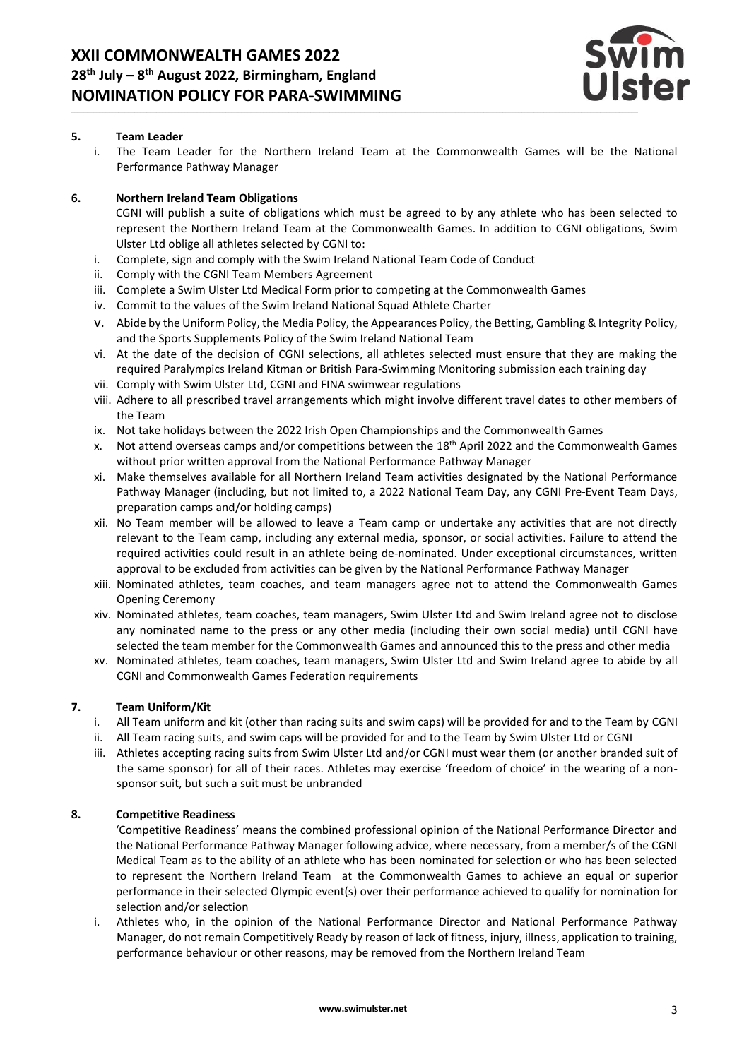

## **5. Team Leader**

i. The Team Leader for the Northern Ireland Team at the Commonwealth Games will be the National Performance Pathway Manager

## **6. Northern Ireland Team Obligations**

- CGNI will publish a suite of obligations which must be agreed to by any athlete who has been selected to represent the Northern Ireland Team at the Commonwealth Games. In addition to CGNI obligations, Swim Ulster Ltd oblige all athletes selected by CGNI to:
- i. Complete, sign and comply with the Swim Ireland National Team Code of Conduct
- ii. Comply with the CGNI Team Members Agreement
- iii. Complete a Swim Ulster Ltd Medical Form prior to competing at the Commonwealth Games
- iv. Commit to the values of the Swim Ireland National Squad Athlete Charter
- v. Abide by the Uniform Policy, the Media Policy, the Appearances Policy, the Betting, Gambling & Integrity Policy, and the Sports Supplements Policy of the Swim Ireland National Team
- vi. At the date of the decision of CGNI selections, all athletes selected must ensure that they are making the required Paralympics Ireland Kitman or British Para-Swimming Monitoring submission each training day
- vii. Comply with Swim Ulster Ltd, CGNI and FINA swimwear regulations
- viii. Adhere to all prescribed travel arrangements which might involve different travel dates to other members of the Team
- ix. Not take holidays between the 2022 Irish Open Championships and the Commonwealth Games
- x. Not attend overseas camps and/or competitions between the 18th April 2022 and the Commonwealth Games without prior written approval from the National Performance Pathway Manager
- xi. Make themselves available for all Northern Ireland Team activities designated by the National Performance Pathway Manager (including, but not limited to, a 2022 National Team Day, any CGNI Pre-Event Team Days, preparation camps and/or holding camps)
- xii. No Team member will be allowed to leave a Team camp or undertake any activities that are not directly relevant to the Team camp, including any external media, sponsor, or social activities. Failure to attend the required activities could result in an athlete being de-nominated. Under exceptional circumstances, written approval to be excluded from activities can be given by the National Performance Pathway Manager
- xiii. Nominated athletes, team coaches, and team managers agree not to attend the Commonwealth Games Opening Ceremony
- xiv. Nominated athletes, team coaches, team managers, Swim Ulster Ltd and Swim Ireland agree not to disclose any nominated name to the press or any other media (including their own social media) until CGNI have selected the team member for the Commonwealth Games and announced this to the press and other media
- xv. Nominated athletes, team coaches, team managers, Swim Ulster Ltd and Swim Ireland agree to abide by all CGNI and Commonwealth Games Federation requirements

## **7. Team Uniform/Kit**

- i. All Team uniform and kit (other than racing suits and swim caps) will be provided for and to the Team by CGNI
- ii. All Team racing suits, and swim caps will be provided for and to the Team by Swim Ulster Ltd or CGNI
- iii. Athletes accepting racing suits from Swim Ulster Ltd and/or CGNI must wear them (or another branded suit of the same sponsor) for all of their races. Athletes may exercise 'freedom of choice' in the wearing of a nonsponsor suit, but such a suit must be unbranded

#### **8. Competitive Readiness**

'Competitive Readiness' means the combined professional opinion of the National Performance Director and the National Performance Pathway Manager following advice, where necessary, from a member/s of the CGNI Medical Team as to the ability of an athlete who has been nominated for selection or who has been selected to represent the Northern Ireland Team at the Commonwealth Games to achieve an equal or superior performance in their selected Olympic event(s) over their performance achieved to qualify for nomination for selection and/or selection

i. Athletes who, in the opinion of the National Performance Director and National Performance Pathway Manager, do not remain Competitively Ready by reason of lack of fitness, injury, illness, application to training, performance behaviour or other reasons, may be removed from the Northern Ireland Team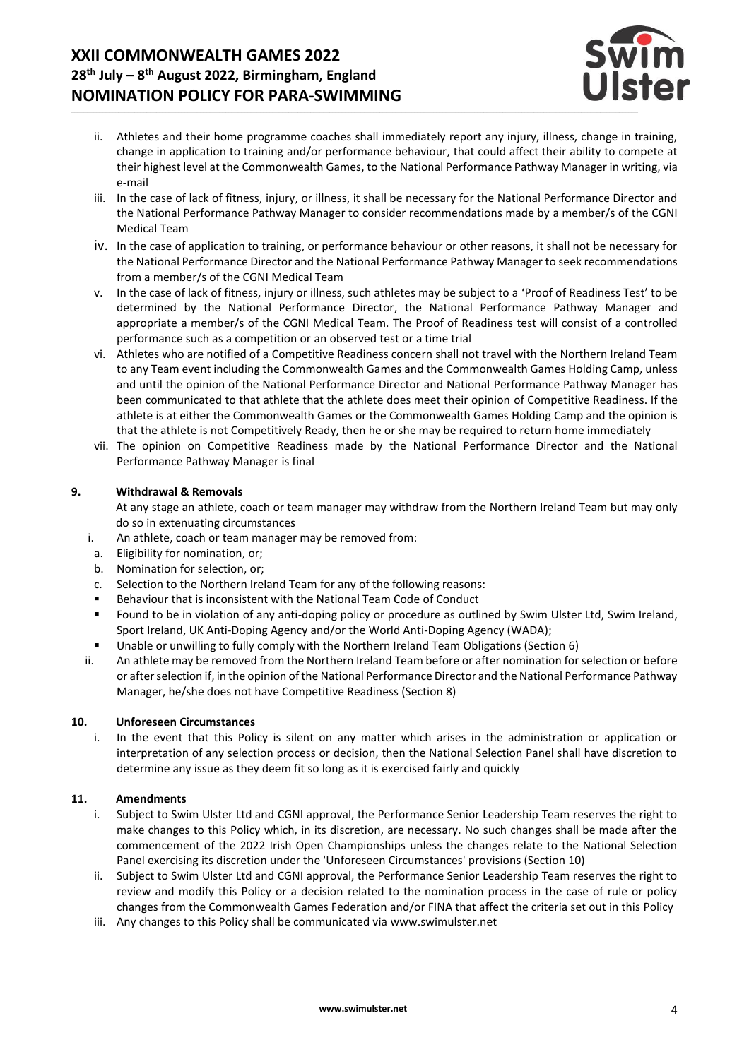# **XXII COMMONWEALTH GAMES 2022 28 th July – 8 th August 2022, Birmingham, England NOMINATION POLICY FOR PARA-SWIMMING**



- ii. Athletes and their home programme coaches shall immediately report any injury, illness, change in training, change in application to training and/or performance behaviour, that could affect their ability to compete at their highest level at the Commonwealth Games, to the National Performance Pathway Manager in writing, via e-mail
- iii. In the case of lack of fitness, injury, or illness, it shall be necessary for the National Performance Director and the National Performance Pathway Manager to consider recommendations made by a member/s of the CGNI Medical Team
- iv. In the case of application to training, or performance behaviour or other reasons, it shall not be necessary for the National Performance Director and the National Performance Pathway Manager to seek recommendations from a member/s of the CGNI Medical Team
- v. In the case of lack of fitness, injury or illness, such athletes may be subject to a 'Proof of Readiness Test' to be determined by the National Performance Director, the National Performance Pathway Manager and appropriate a member/s of the CGNI Medical Team. The Proof of Readiness test will consist of a controlled performance such as a competition or an observed test or a time trial
- vi. Athletes who are notified of a Competitive Readiness concern shall not travel with the Northern Ireland Team to any Team event including the Commonwealth Games and the Commonwealth Games Holding Camp, unless and until the opinion of the National Performance Director and National Performance Pathway Manager has been communicated to that athlete that the athlete does meet their opinion of Competitive Readiness. If the athlete is at either the Commonwealth Games or the Commonwealth Games Holding Camp and the opinion is that the athlete is not Competitively Ready, then he or she may be required to return home immediately
- vii. The opinion on Competitive Readiness made by the National Performance Director and the National Performance Pathway Manager is final

## **9. Withdrawal & Removals**

At any stage an athlete, coach or team manager may withdraw from the Northern Ireland Team but may only do so in extenuating circumstances

- i. An athlete, coach or team manager may be removed from:
- a. Eligibility for nomination, or;
- b. Nomination for selection, or;
- c. Selection to the Northern Ireland Team for any of the following reasons:
- Behaviour that is inconsistent with the National Team Code of Conduct
- Found to be in violation of any anti-doping policy or procedure as outlined by Swim Ulster Ltd, Swim Ireland, Sport Ireland, UK Anti-Doping Agency and/or the World Anti-Doping Agency (WADA);
- Unable or unwilling to fully comply with the Northern Ireland Team Obligations (Section 6)
- ii. An athlete may be removed from the Northern Ireland Team before or after nomination for selection or before or after selection if, in the opinion of the National Performance Director and the National Performance Pathway Manager, he/she does not have Competitive Readiness (Section 8)

## **10. Unforeseen Circumstances**

i. In the event that this Policy is silent on any matter which arises in the administration or application or interpretation of any selection process or decision, then the National Selection Panel shall have discretion to determine any issue as they deem fit so long as it is exercised fairly and quickly

#### **11. Amendments**

- i. Subject to Swim Ulster Ltd and CGNI approval, the Performance Senior Leadership Team reserves the right to make changes to this Policy which, in its discretion, are necessary. No such changes shall be made after the commencement of the 2022 Irish Open Championships unless the changes relate to the National Selection Panel exercising its discretion under the 'Unforeseen Circumstances' provisions (Section 10)
- ii. Subject to Swim Ulster Ltd and CGNI approval, the Performance Senior Leadership Team reserves the right to review and modify this Policy or a decision related to the nomination process in the case of rule or policy changes from the Commonwealth Games Federation and/or FINA that affect the criteria set out in this Policy
- iii. Any changes to this Policy shall be communicated via [www.swimulster.net](http://www.swimireland.ie/)